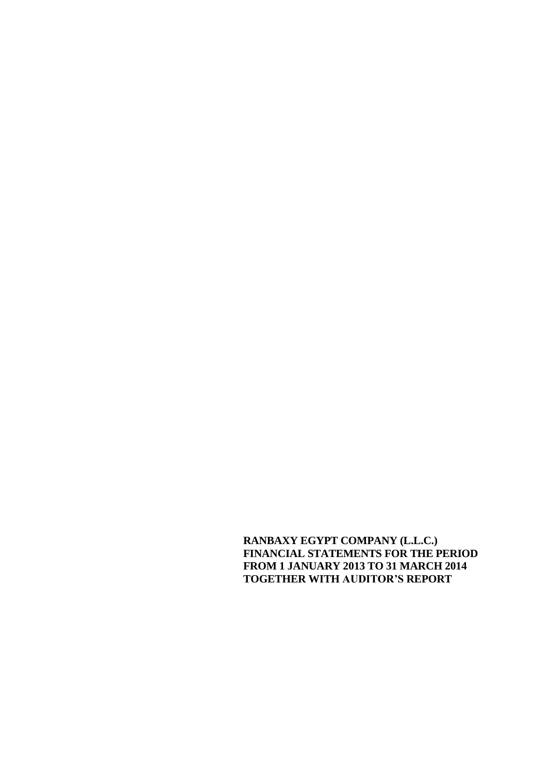**RANBAXY EGYPT COMPANY (L.L.C.) FINANCIAL STATEMENTS FOR THE PERIOD FROM 1 JANUARY 2013 TO 31 MARCH 2014 TOGETHER WITH AUDITOR'S REPORT**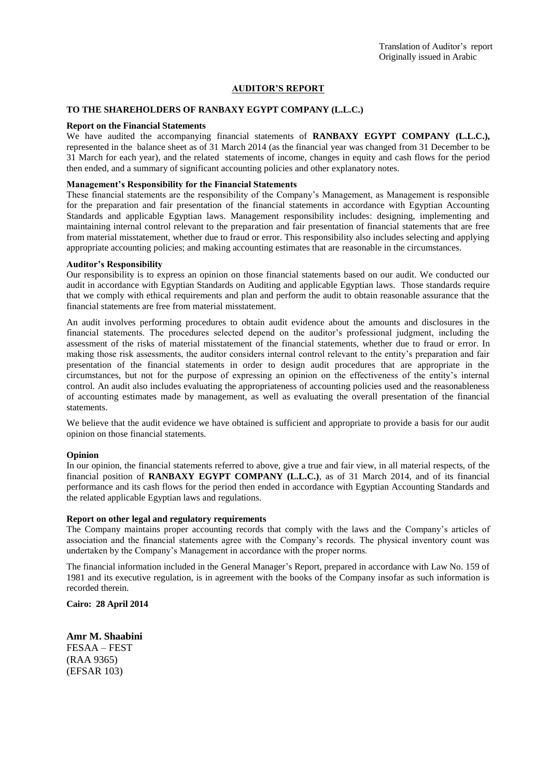### **AUDITOR'S REPORT**

#### **TO THE SHAREHOLDERS OF RANBAXY EGYPT COMPANY (L.L.C.)**

#### **Report on the Financial Statements**

We have audited the accompanying financial statements of **RANBAXY EGYPT COMPANY (L.L.C.),** represented in the balance sheet as of 31 March 2014 (as the financial year was changed from 31 December to be 31 March for each year), and the related statements of income, changes in equity and cash flows for the period then ended, and a summary of significant accounting policies and other explanatory notes.

#### **Management's Responsibility for the Financial Statements**

These financial statements are the responsibility of the Company's Management, as Management is responsible for the preparation and fair presentation of the financial statements in accordance with Egyptian Accounting Standards and applicable Egyptian laws. Management responsibility includes: designing, implementing and maintaining internal control relevant to the preparation and fair presentation of financial statements that are free from material misstatement, whether due to fraud or error. This responsibility also includes selecting and applying appropriate accounting policies; and making accounting estimates that are reasonable in the circumstances.

#### **Auditor's Responsibility**

Our responsibility is to express an opinion on those financial statements based on our audit. We conducted our audit in accordance with Egyptian Standards on Auditing and applicable Egyptian laws. Those standards require that we comply with ethical requirements and plan and perform the audit to obtain reasonable assurance that the financial statements are free from material misstatement.

An audit involves performing procedures to obtain audit evidence about the amounts and disclosures in the financial statements. The procedures selected depend on the auditor's professional judgment, including the assessment of the risks of material misstatement of the financial statements, whether due to fraud or error. In making those risk assessments, the auditor considers internal control relevant to the entity's preparation and fair presentation of the financial statements in order to design audit procedures that are appropriate in the circumstances, but not for the purpose of expressing an opinion on the effectiveness of the entity's internal control. An audit also includes evaluating the appropriateness of accounting policies used and the reasonableness of accounting estimates made by management, as well as evaluating the overall presentation of the financial statements.

We believe that the audit evidence we have obtained is sufficient and appropriate to provide a basis for our audit opinion on those financial statements.

#### **Opinion**

In our opinion, the financial statements referred to above, give a true and fair view, in all material respects, of the financial position of **RANBAXY EGYPT COMPANY (L.L.C.)**, as of 31 March 2014, and of its financial performance and its cash flows for the period then ended in accordance with Egyptian Accounting Standards and the related applicable Egyptian laws and regulations.

#### **Report on other legal and regulatory requirements**

The Company maintains proper accounting records that comply with the laws and the Company's articles of association and the financial statements agree with the Company's records. The physical inventory count was undertaken by the Company's Management in accordance with the proper norms.

The financial information included in the General Manager's Report, prepared in accordance with Law No. 159 of 1981 and its executive regulation, is in agreement with the books of the Company insofar as such information is recorded therein.

**Cairo: 28 April 2014**

**Amr M. Shaabini** FESAA – FEST (RAA 9365) (EFSAR 103)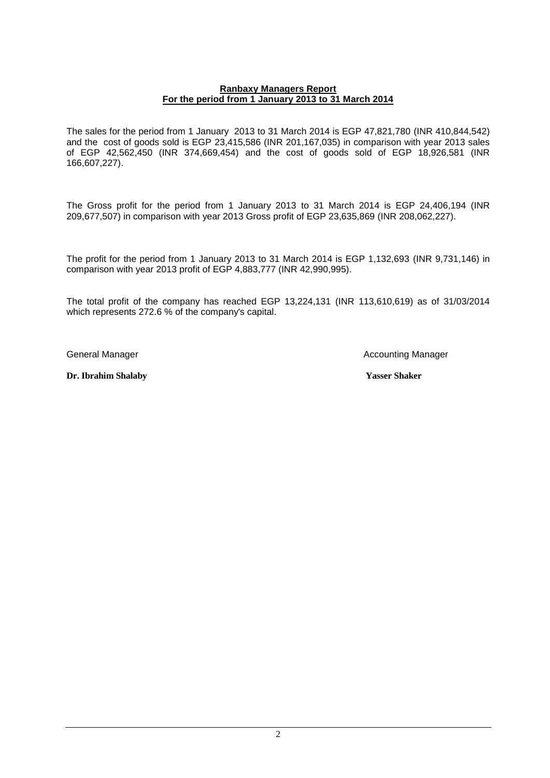### **Ranbaxy Managers Report For the period from 1 January 2013 to 31 March 2014**

The sales for the period from 1 January 2013 to 31 March 2014 is EGP 47,821,780 (INR 410,844,542) and the cost of goods sold is EGP 23,415,586 (INR 201,167,035) in comparison with year 2013 sales of EGP 42,562,450 (INR 374,669,454) and the cost of goods sold of EGP 18,926,581 (INR 166,607,227).

The Gross profit for the period from 1 January 2013 to 31 March 2014 is EGP 24,406,194 (INR 209,677,507) in comparison with year 2013 Gross profit of EGP 23,635,869 (INR 208,062,227).

The profit for the period from 1 January 2013 to 31 March 2014 is EGP 1,132,693 (INR 9,731,146) in comparison with year 2013 profit of EGP 4,883,777 (INR 42,990,995).

The total profit of the company has reached EGP 13,224,131 (INR 113,610,619) as of 31/03/2014 which represents 272.6 % of the company's capital.

General Manager **Accounting Manager** Accounting Manager

**Dr. Ibrahim Shalaby Yasser Shaker**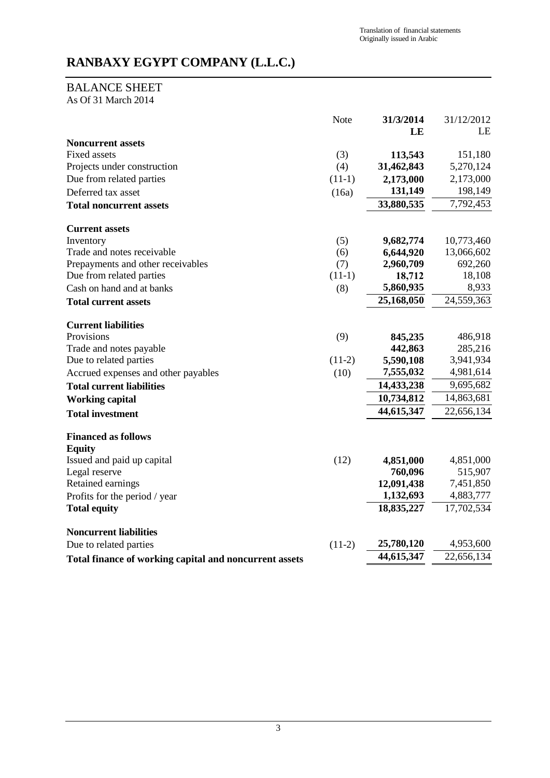# BALANCE SHEET

As Of 31 March 2014

|                                                        | Note     | 31/3/2014  | 31/12/2012 |
|--------------------------------------------------------|----------|------------|------------|
|                                                        |          | LE         | LE         |
| <b>Noncurrent assets</b>                               |          |            |            |
| <b>Fixed assets</b>                                    | (3)      | 113,543    | 151,180    |
| Projects under construction                            | (4)      | 31,462,843 | 5,270,124  |
| Due from related parties                               | $(11-1)$ | 2,173,000  | 2,173,000  |
| Deferred tax asset                                     | (16a)    | 131,149    | 198,149    |
| <b>Total noncurrent assets</b>                         |          | 33,880,535 | 7,792,453  |
| <b>Current assets</b>                                  |          |            |            |
| Inventory                                              | (5)      | 9,682,774  | 10,773,460 |
| Trade and notes receivable                             | (6)      | 6,644,920  | 13,066,602 |
| Prepayments and other receivables                      | (7)      | 2,960,709  | 692,260    |
| Due from related parties                               | $(11-1)$ | 18,712     | 18,108     |
| Cash on hand and at banks                              | (8)      | 5,860,935  | 8,933      |
| <b>Total current assets</b>                            |          | 25,168,050 | 24,559,363 |
| <b>Current liabilities</b>                             |          |            |            |
| Provisions                                             | (9)      | 845,235    | 486,918    |
| Trade and notes payable                                |          | 442,863    | 285,216    |
| Due to related parties                                 | $(11-2)$ | 5,590,108  | 3,941,934  |
| Accrued expenses and other payables                    | (10)     | 7,555,032  | 4,981,614  |
| <b>Total current liabilities</b>                       |          | 14,433,238 | 9,695,682  |
| <b>Working capital</b>                                 |          | 10,734,812 | 14,863,681 |
| <b>Total investment</b>                                |          | 44,615,347 | 22,656,134 |
| <b>Financed as follows</b>                             |          |            |            |
| <b>Equity</b>                                          |          |            |            |
| Issued and paid up capital                             | (12)     | 4,851,000  | 4,851,000  |
| Legal reserve                                          |          | 760,096    | 515,907    |
| Retained earnings                                      |          | 12,091,438 | 7,451,850  |
| Profits for the period / year                          |          | 1,132,693  | 4,883,777  |
| <b>Total equity</b>                                    |          | 18,835,227 | 17,702,534 |
| <b>Noncurrent liabilities</b>                          |          |            |            |
| Due to related parties                                 | $(11-2)$ | 25,780,120 | 4,953,600  |
| Total finance of working capital and noncurrent assets |          | 44,615,347 | 22,656,134 |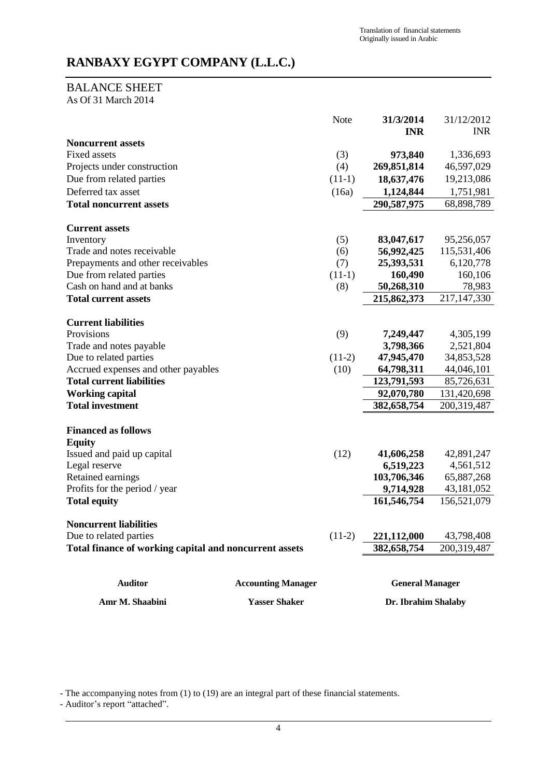# BALANCE SHEET

As Of 31 March 2014

|                                                                         |                           | Note     | 31/3/2014<br><b>INR</b>   | 31/12/2012<br><b>INR</b>   |
|-------------------------------------------------------------------------|---------------------------|----------|---------------------------|----------------------------|
| <b>Noncurrent assets</b>                                                |                           |          |                           |                            |
| <b>Fixed assets</b>                                                     |                           | (3)      | 973,840                   | 1,336,693                  |
| Projects under construction                                             |                           | (4)      | 269,851,814               | 46,597,029                 |
| Due from related parties                                                |                           | $(11-1)$ | 18,637,476                | 19,213,086                 |
| Deferred tax asset                                                      |                           | (16a)    | 1,124,844                 | 1,751,981                  |
| <b>Total noncurrent assets</b>                                          |                           |          | 290,587,975               | 68,898,789                 |
| <b>Current assets</b>                                                   |                           |          |                           |                            |
| Inventory                                                               |                           | (5)      | 83,047,617                | 95,256,057                 |
| Trade and notes receivable                                              |                           | (6)      | 56,992,425                | 115,531,406                |
| Prepayments and other receivables                                       |                           | (7)      | 25,393,531                | 6,120,778                  |
| Due from related parties                                                |                           | $(11-1)$ | 160,490                   | 160,106                    |
| Cash on hand and at banks                                               |                           | (8)      | 50,268,310                | 78,983                     |
| <b>Total current assets</b>                                             |                           |          | 215,862,373               | 217, 147, 330              |
|                                                                         |                           |          |                           |                            |
| <b>Current liabilities</b>                                              |                           |          |                           |                            |
| Provisions                                                              |                           | (9)      | 7,249,447                 | 4,305,199                  |
| Trade and notes payable                                                 |                           |          | 3,798,366                 | 2,521,804                  |
| Due to related parties                                                  |                           | $(11-2)$ | 47,945,470                | 34,853,528                 |
| Accrued expenses and other payables<br><b>Total current liabilities</b> |                           | (10)     | 64,798,311                | 44,046,101                 |
|                                                                         |                           |          | 123,791,593               | 85,726,631                 |
| <b>Working capital</b><br><b>Total investment</b>                       |                           |          | 92,070,780<br>382,658,754 | 131,420,698<br>200,319,487 |
|                                                                         |                           |          |                           |                            |
| <b>Financed as follows</b>                                              |                           |          |                           |                            |
| <b>Equity</b>                                                           |                           |          |                           |                            |
| Issued and paid up capital                                              |                           | (12)     | 41,606,258                | 42,891,247                 |
| Legal reserve<br>Retained earnings                                      |                           |          | 6,519,223                 | 4,561,512                  |
| Profits for the period / year                                           |                           |          | 103,706,346<br>9,714,928  | 65,887,268<br>43,181,052   |
| <b>Total equity</b>                                                     |                           |          | 161,546,754               | 156,521,079                |
|                                                                         |                           |          |                           |                            |
| <b>Noncurrent liabilities</b>                                           |                           |          |                           |                            |
| Due to related parties                                                  |                           | $(11-2)$ | 221,112,000               | 43,798,408                 |
| Total finance of working capital and noncurrent assets                  |                           |          | 382,658,754               | 200,319,487                |
| <b>Auditor</b>                                                          | <b>Accounting Manager</b> |          | <b>General Manager</b>    |                            |
| Amr M. Shaabini                                                         | <b>Yasser Shaker</b>      |          | Dr. Ibrahim Shalaby       |                            |

- The accompanying notes from (1) to (19) are an integral part of these financial statements.

- Auditor's report "attached".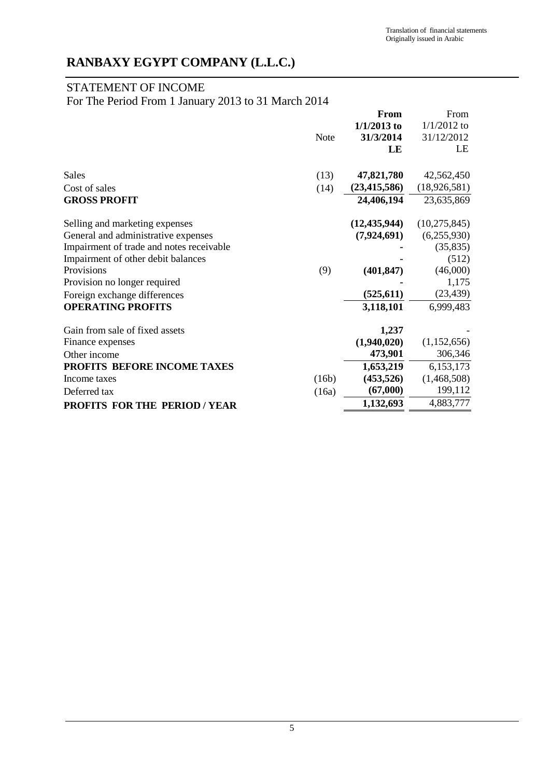# STATEMENT OF INCOME

For The Period From 1 January 2013 to 31 March 2014

|                                          |             | From           | From           |
|------------------------------------------|-------------|----------------|----------------|
|                                          |             | $1/1/2013$ to  | $1/1/2012$ to  |
|                                          | <b>Note</b> | 31/3/2014      | 31/12/2012     |
|                                          |             | LE             | LE             |
| <b>Sales</b>                             | (13)        | 47,821,780     | 42,562,450     |
| Cost of sales                            | (14)        | (23, 415, 586) | (18, 926, 581) |
| <b>GROSS PROFIT</b>                      |             | 24,406,194     | 23,635,869     |
| Selling and marketing expenses           |             | (12, 435, 944) | (10, 275, 845) |
| General and administrative expenses      |             | (7,924,691)    | (6,255,930)    |
| Impairment of trade and notes receivable |             |                | (35, 835)      |
| Impairment of other debit balances       |             |                | (512)          |
| Provisions                               | (9)         | (401, 847)     | (46,000)       |
| Provision no longer required             |             |                | 1,175          |
| Foreign exchange differences             |             | (525, 611)     | (23, 439)      |
| <b>OPERATING PROFITS</b>                 |             | 3,118,101      | 6,999,483      |
| Gain from sale of fixed assets           |             | 1,237          |                |
| Finance expenses                         |             | (1,940,020)    | (1,152,656)    |
| Other income                             |             | 473,901        | 306,346        |
| PROFITS BEFORE INCOME TAXES              |             | 1,653,219      | 6,153,173      |
| Income taxes                             | (16b)       | (453,526)      | (1,468,508)    |
| Deferred tax                             | (16a)       | (67,000)       | 199,112        |
| <b>PROFITS FOR THE PERIOD/YEAR</b>       |             | 1,132,693      | 4,883,777      |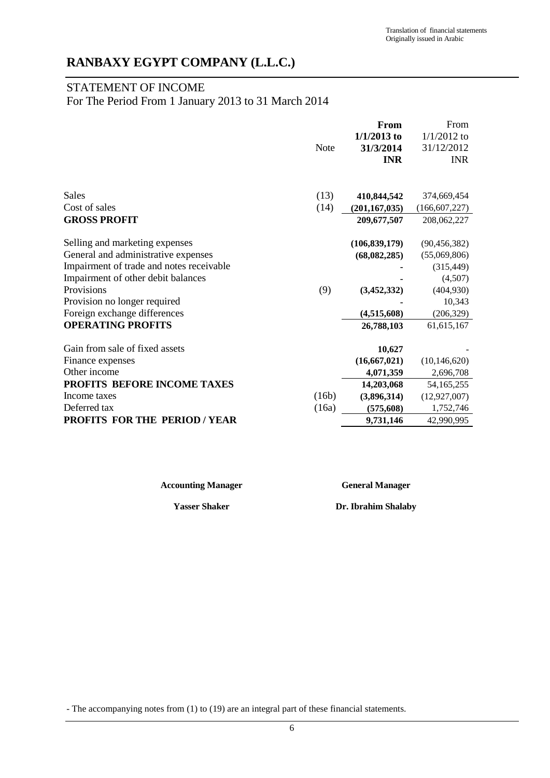# STATEMENT OF INCOME

For The Period From 1 January 2013 to 31 March 2014

|                                          |             | <b>From</b>     | From            |
|------------------------------------------|-------------|-----------------|-----------------|
|                                          |             | $1/1/2013$ to   | $1/1/2012$ to   |
|                                          | <b>Note</b> | 31/3/2014       | 31/12/2012      |
|                                          |             | <b>INR</b>      | <b>INR</b>      |
|                                          |             |                 |                 |
| Sales                                    | (13)        | 410,844,542     | 374,669,454     |
| Cost of sales                            | (14)        | (201, 167, 035) | (166, 607, 227) |
| <b>GROSS PROFIT</b>                      |             | 209,677,507     | 208,062,227     |
|                                          |             |                 |                 |
| Selling and marketing expenses           |             | (106, 839, 179) | (90, 456, 382)  |
| General and administrative expenses      |             | (68,082,285)    | (55,069,806)    |
| Impairment of trade and notes receivable |             |                 | (315, 449)      |
| Impairment of other debit balances       |             |                 | (4,507)         |
| Provisions                               | (9)         | (3,452,332)     | (404, 930)      |
| Provision no longer required             |             |                 | 10,343          |
| Foreign exchange differences             |             | (4,515,608)     | (206, 329)      |
| <b>OPERATING PROFITS</b>                 |             | 26,788,103      | 61, 615, 167    |
| Gain from sale of fixed assets           |             | 10,627          |                 |
| Finance expenses                         |             | (16, 667, 021)  | (10, 146, 620)  |
| Other income                             |             | 4,071,359       | 2,696,708       |
| PROFITS BEFORE INCOME TAXES              |             | 14,203,068      | 54,165,255      |
| Income taxes                             | (16b)       | (3,896,314)     | (12, 927, 007)  |
| Deferred tax                             | (16a)       | (575, 608)      | 1,752,746       |
| <b>PROFITS FOR THE PERIOD / YEAR</b>     |             | 9,731,146       | 42,990,995      |

**Accounting Manager General Manager**

**Yasser Shaker Dr. Ibrahim Shalaby**

- The accompanying notes from (1) to (19) are an integral part of these financial statements.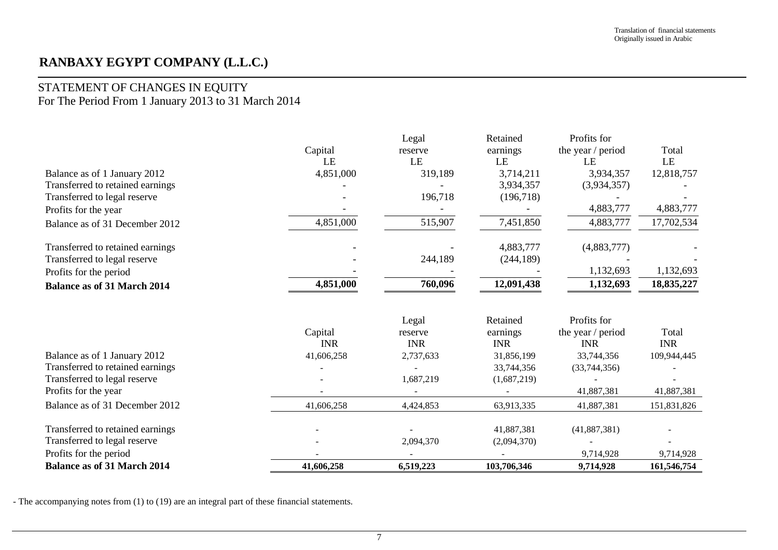# STATEMENT OF CHANGES IN EQUITY

For The Period From 1 January 2013 to 31 March 2014

|                                    |            | Legal      | Retained    | Profits for       |             |
|------------------------------------|------------|------------|-------------|-------------------|-------------|
|                                    | Capital    | reserve    | earnings    | the year / period | Total       |
|                                    | LE         | LE         | LE          | LE                | LE          |
| Balance as of 1 January 2012       | 4,851,000  | 319,189    | 3,714,211   | 3,934,357         | 12,818,757  |
| Transferred to retained earnings   |            |            | 3,934,357   | (3,934,357)       |             |
| Transferred to legal reserve       |            | 196,718    | (196,718)   |                   |             |
| Profits for the year               |            |            |             | 4,883,777         | 4,883,777   |
| Balance as of 31 December 2012     | 4,851,000  | 515,907    | 7,451,850   | 4,883,777         | 17,702,534  |
| Transferred to retained earnings   |            |            | 4,883,777   | (4,883,777)       |             |
| Transferred to legal reserve       |            | 244,189    | (244, 189)  |                   |             |
| Profits for the period             |            |            |             | 1,132,693         | 1,132,693   |
| <b>Balance as of 31 March 2014</b> | 4,851,000  | 760,096    | 12,091,438  | 1,132,693         | 18,835,227  |
|                                    |            | Legal      | Retained    | Profits for       |             |
|                                    | Capital    | reserve    | earnings    | the year / period | Total       |
|                                    | <b>INR</b> | <b>INR</b> | <b>INR</b>  | <b>INR</b>        | <b>INR</b>  |
| Balance as of 1 January 2012       | 41,606,258 | 2,737,633  | 31,856,199  | 33,744,356        | 109,944,445 |
| Transferred to retained earnings   |            |            | 33,744,356  | (33,744,356)      |             |
| Transferred to legal reserve       |            | 1,687,219  | (1,687,219) |                   |             |
| Profits for the year               |            |            |             | 41,887,381        | 41,887,381  |
| Balance as of 31 December 2012     | 41,606,258 | 4,424,853  | 63,913,335  | 41,887,381        | 151,831,826 |
| Transferred to retained earnings   |            |            | 41,887,381  | (41, 887, 381)    |             |
| Transferred to legal reserve       |            | 2,094,370  | (2,094,370) |                   |             |
| Profits for the period             |            |            |             | 9,714,928         | 9,714,928   |
| <b>Balance as of 31 March 2014</b> |            |            |             |                   |             |

- The accompanying notes from (1) to (19) are an integral part of these financial statements.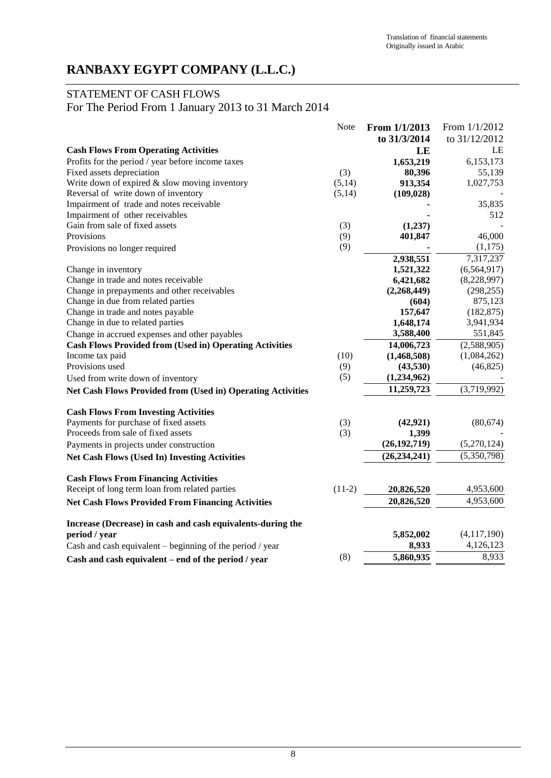# STATEMENT OF CASH FLOWS

For The Period From 1 January 2013 to 31 March 2014

|                                                                    | Note     | From 1/1/2013  | From 1/1/2012 |
|--------------------------------------------------------------------|----------|----------------|---------------|
|                                                                    |          | to 31/3/2014   | to 31/12/2012 |
| <b>Cash Flows From Operating Activities</b>                        |          | LE             | LE            |
| Profits for the period / year before income taxes                  |          | 1,653,219      | 6,153,173     |
| Fixed assets depreciation                                          | (3)      | 80,396         | 55,139        |
| Write down of expired & slow moving inventory                      | (5,14)   | 913,354        | 1,027,753     |
| Reversal of write down of inventory                                | (5,14)   | (109, 028)     |               |
| Impairment of trade and notes receivable                           |          |                | 35,835        |
| Impairment of other receivables                                    |          |                | 512           |
| Gain from sale of fixed assets                                     | (3)      | (1,237)        |               |
| Provisions                                                         | (9)      | 401,847        | 46,000        |
| Provisions no longer required                                      | (9)      |                | (1,175)       |
|                                                                    |          | 2,938,551      | 7,317,237     |
| Change in inventory                                                |          | 1,521,322      | (6,564,917)   |
| Change in trade and notes receivable                               |          | 6,421,682      | (8,228,997)   |
| Change in prepayments and other receivables                        |          | (2,268,449)    | (298, 255)    |
| Change in due from related parties                                 |          | (604)          | 875,123       |
| Change in trade and notes payable                                  |          | 157,647        | (182, 875)    |
| Change in due to related parties                                   |          | 1,648,174      | 3,941,934     |
| Change in accrued expenses and other payables                      |          | 3,588,400      | 551,845       |
| <b>Cash Flows Provided from (Used in) Operating Activities</b>     |          | 14,006,723     | (2,588,905)   |
| Income tax paid                                                    | (10)     | (1,468,508)    | (1,084,262)   |
| Provisions used                                                    | (9)      | (43,530)       | (46,825)      |
| Used from write down of inventory                                  | (5)      | (1,234,962)    |               |
| <b>Net Cash Flows Provided from (Used in) Operating Activities</b> |          | 11,259,723     | (3,719,992)   |
| <b>Cash Flows From Investing Activities</b>                        |          |                |               |
| Payments for purchase of fixed assets                              | (3)      | (42, 921)      | (80, 674)     |
| Proceeds from sale of fixed assets                                 | (3)      | 1,399          |               |
| Payments in projects under construction                            |          | (26, 192, 719) | (5,270,124)   |
| <b>Net Cash Flows (Used In) Investing Activities</b>               |          | (26, 234, 241) | (5,350,798)   |
| <b>Cash Flows From Financing Activities</b>                        |          |                |               |
| Receipt of long term loan from related parties                     | $(11-2)$ | 20,826,520     | 4,953,600     |
| <b>Net Cash Flows Provided From Financing Activities</b>           |          | 20,826,520     | 4,953,600     |
| Increase (Decrease) in cash and cash equivalents-during the        |          |                |               |
| period / year                                                      |          | 5,852,002      | (4,117,190)   |
| Cash and cash equivalent $-$ beginning of the period / year        |          | 8,933          | 4,126,123     |
| Cash and cash equivalent – end of the period / year                | (8)      | 5,860,935      | 8,933         |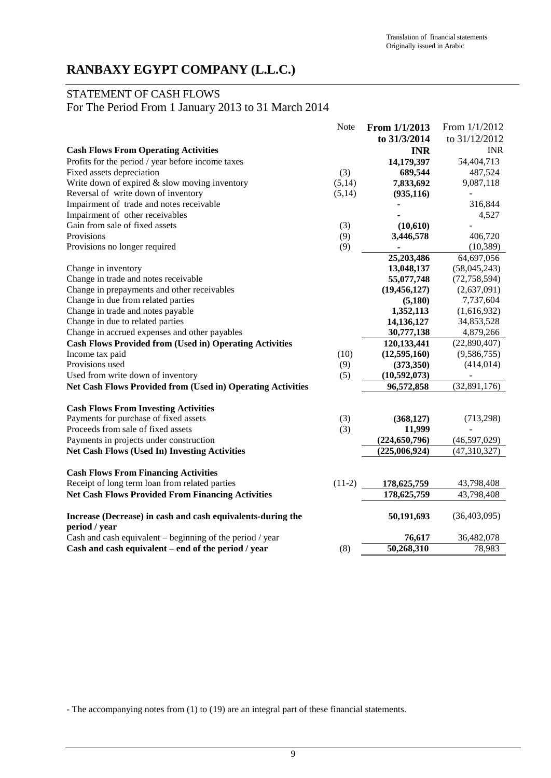## STATEMENT OF CASH FLOWS

For The Period From 1 January 2013 to 31 March 2014

|                                                                              | <b>Note</b> | From 1/1/2013   | From 1/1/2012  |
|------------------------------------------------------------------------------|-------------|-----------------|----------------|
|                                                                              |             | to 31/3/2014    | to 31/12/2012  |
| <b>Cash Flows From Operating Activities</b>                                  |             | <b>INR</b>      | <b>INR</b>     |
| Profits for the period / year before income taxes                            |             | 14,179,397      | 54,404,713     |
| Fixed assets depreciation                                                    | (3)         | 689,544         | 487,524        |
| Write down of expired & slow moving inventory                                | (5,14)      | 7,833,692       | 9,087,118      |
| Reversal of write down of inventory                                          | (5,14)      | (935, 116)      |                |
| Impairment of trade and notes receivable                                     |             |                 | 316,844        |
| Impairment of other receivables                                              |             |                 | 4,527          |
| Gain from sale of fixed assets                                               | (3)         | (10,610)        |                |
| Provisions                                                                   | (9)         | 3,446,578       | 406,720        |
| Provisions no longer required                                                | (9)         |                 | (10, 389)      |
|                                                                              |             | 25,203,486      | 64,697,056     |
| Change in inventory                                                          |             | 13,048,137      | (58,045,243)   |
| Change in trade and notes receivable                                         |             | 55,077,748      | (72, 758, 594) |
| Change in prepayments and other receivables                                  |             | (19, 456, 127)  | (2,637,091)    |
| Change in due from related parties                                           |             | (5,180)         | 7,737,604      |
| Change in trade and notes payable                                            |             | 1,352,113       | (1,616,932)    |
| Change in due to related parties                                             |             | 14,136,127      | 34,853,528     |
| Change in accrued expenses and other payables                                |             | 30,777,138      | 4,879,266      |
| <b>Cash Flows Provided from (Used in) Operating Activities</b>               |             | 120,133,441     | (22,890,407)   |
| Income tax paid                                                              | (10)        | (12,595,160)    | (9,586,755)    |
| Provisions used                                                              | (9)         | (373, 350)      | (414, 014)     |
| Used from write down of inventory                                            | (5)         | (10, 592, 073)  |                |
| <b>Net Cash Flows Provided from (Used in) Operating Activities</b>           |             | 96,572,858      | (32,891,176)   |
| <b>Cash Flows From Investing Activities</b>                                  |             |                 |                |
| Payments for purchase of fixed assets                                        | (3)         | (368, 127)      | (713,298)      |
| Proceeds from sale of fixed assets                                           | (3)         | 11,999          |                |
| Payments in projects under construction                                      |             | (224, 650, 796) | (46,597,029)   |
| <b>Net Cash Flows (Used In) Investing Activities</b>                         |             | (225,006,924)   | (47,310,327)   |
| <b>Cash Flows From Financing Activities</b>                                  |             |                 |                |
| Receipt of long term loan from related parties                               | $(11-2)$    | 178,625,759     | 43,798,408     |
| <b>Net Cash Flows Provided From Financing Activities</b>                     |             | 178,625,759     | 43,798,408     |
|                                                                              |             |                 |                |
| Increase (Decrease) in cash and cash equivalents-during the<br>period / year |             | 50,191,693      | (36,403,095)   |
| Cash and cash equivalent $-$ beginning of the period / year                  |             | 76,617          | 36,482,078     |
| Cash and cash equivalent - end of the period / year                          | (8)         | 50,268,310      | 78,983         |
|                                                                              |             |                 |                |

- The accompanying notes from (1) to (19) are an integral part of these financial statements.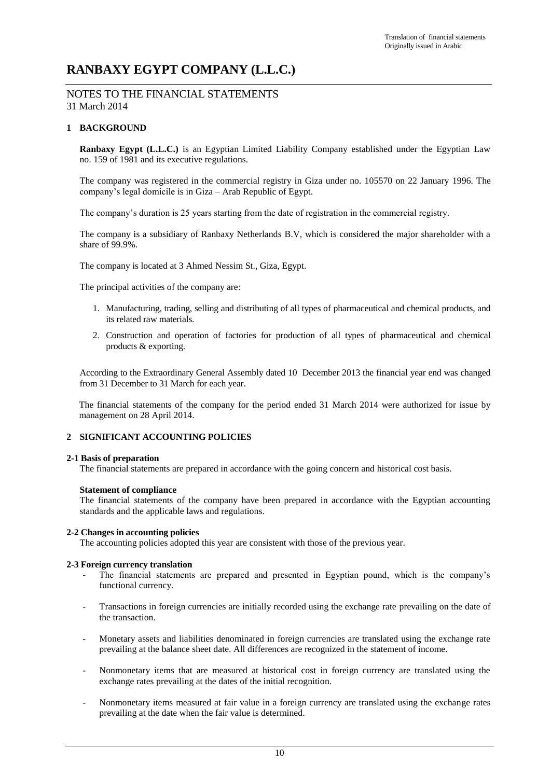### NOTES TO THE FINANCIAL STATEMENTS 31 March 2014

### **1 BACKGROUND**

**Ranbaxy Egypt (L.L.C.)** is an Egyptian Limited Liability Company established under the Egyptian Law no. 159 of 1981 and its executive regulations.

The company was registered in the commercial registry in Giza under no. 105570 on 22 January 1996. The company's legal domicile is in Giza – Arab Republic of Egypt.

The company's duration is 25 years starting from the date of registration in the commercial registry.

The company is a subsidiary of Ranbaxy Netherlands B.V, which is considered the major shareholder with a share of 99.9%.

The company is located at 3 Ahmed Nessim St., Giza, Egypt.

The principal activities of the company are:

- 1. Manufacturing, trading, selling and distributing of all types of pharmaceutical and chemical products, and its related raw materials.
- 2. Construction and operation of factories for production of all types of pharmaceutical and chemical products & exporting.

According to the Extraordinary General Assembly dated 10 December 2013 the financial year end was changed from 31 December to 31 March for each year.

The financial statements of the company for the period ended 31 March 2014 were authorized for issue by management on 28 April 2014.

### **2 SIGNIFICANT ACCOUNTING POLICIES**

#### **2-1 Basis of preparation**

The financial statements are prepared in accordance with the going concern and historical cost basis.

#### **Statement of compliance**

The financial statements of the company have been prepared in accordance with the Egyptian accounting standards and the applicable laws and regulations.

### **2-2 Changes in accounting policies**

The accounting policies adopted this year are consistent with those of the previous year.

#### **2-3 Foreign currency translation**

- The financial statements are prepared and presented in Egyptian pound, which is the company's functional currency.
- Transactions in foreign currencies are initially recorded using the exchange rate prevailing on the date of the transaction.
- Monetary assets and liabilities denominated in foreign currencies are translated using the exchange rate prevailing at the balance sheet date. All differences are recognized in the statement of income.
- Nonmonetary items that are measured at historical cost in foreign currency are translated using the exchange rates prevailing at the dates of the initial recognition.
- Nonmonetary items measured at fair value in a foreign currency are translated using the exchange rates prevailing at the date when the fair value is determined.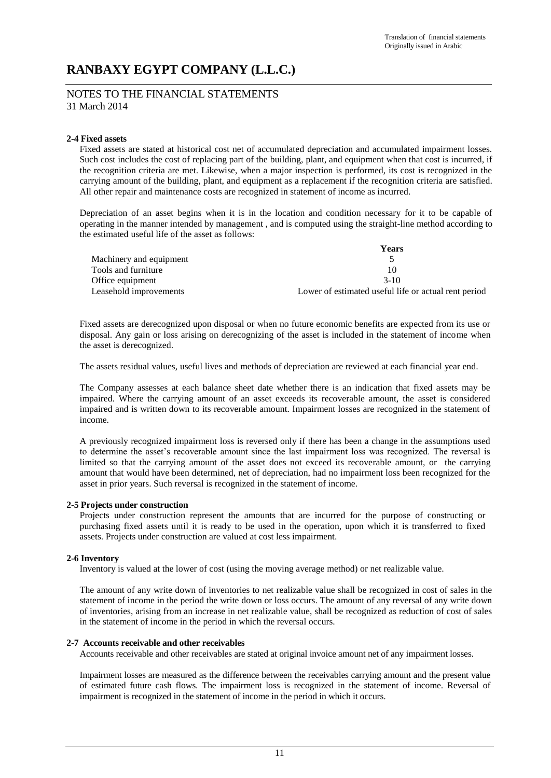### NOTES TO THE FINANCIAL STATEMENTS 31 March 2014

### **2-4 Fixed assets**

Fixed assets are stated at historical cost net of accumulated depreciation and accumulated impairment losses. Such cost includes the cost of replacing part of the building, plant, and equipment when that cost is incurred, if the recognition criteria are met. Likewise, when a major inspection is performed, its cost is recognized in the carrying amount of the building, plant, and equipment as a replacement if the recognition criteria are satisfied. All other repair and maintenance costs are recognized in statement of income as incurred.

Depreciation of an asset begins when it is in the location and condition necessary for it to be capable of operating in the manner intended by management , and is computed using the straight-line method according to the estimated useful life of the asset as follows:

|                         | Years                                                |
|-------------------------|------------------------------------------------------|
| Machinery and equipment |                                                      |
| Tools and furniture     | 10                                                   |
| Office equipment        | $3-10$                                               |
| Leasehold improvements  | Lower of estimated useful life or actual rent period |

Fixed assets are derecognized upon disposal or when no future economic benefits are expected from its use or disposal. Any gain or loss arising on derecognizing of the asset is included in the statement of income when the asset is derecognized.

The assets residual values, useful lives and methods of depreciation are reviewed at each financial year end.

The Company assesses at each balance sheet date whether there is an indication that fixed assets may be impaired. Where the carrying amount of an asset exceeds its recoverable amount, the asset is considered impaired and is written down to its recoverable amount. Impairment losses are recognized in the statement of income.

A previously recognized impairment loss is reversed only if there has been a change in the assumptions used to determine the asset's recoverable amount since the last impairment loss was recognized. The reversal is limited so that the carrying amount of the asset does not exceed its recoverable amount, or the carrying amount that would have been determined, net of depreciation, had no impairment loss been recognized for the asset in prior years. Such reversal is recognized in the statement of income.

### **2-5 Projects under construction**

Projects under construction represent the amounts that are incurred for the purpose of constructing or purchasing fixed assets until it is ready to be used in the operation, upon which it is transferred to fixed assets. Projects under construction are valued at cost less impairment.

### **2-6 Inventory**

Inventory is valued at the lower of cost (using the moving average method) or net realizable value.

The amount of any write down of inventories to net realizable value shall be recognized in cost of sales in the statement of income in the period the write down or loss occurs. The amount of any reversal of any write down of inventories, arising from an increase in net realizable value, shall be recognized as reduction of cost of sales in the statement of income in the period in which the reversal occurs.

### **2-7 Accounts receivable and other receivables**

Accounts receivable and other receivables are stated at original invoice amount net of any impairment losses.

Impairment losses are measured as the difference between the receivables carrying amount and the present value of estimated future cash flows. The impairment loss is recognized in the statement of income. Reversal of impairment is recognized in the statement of income in the period in which it occurs.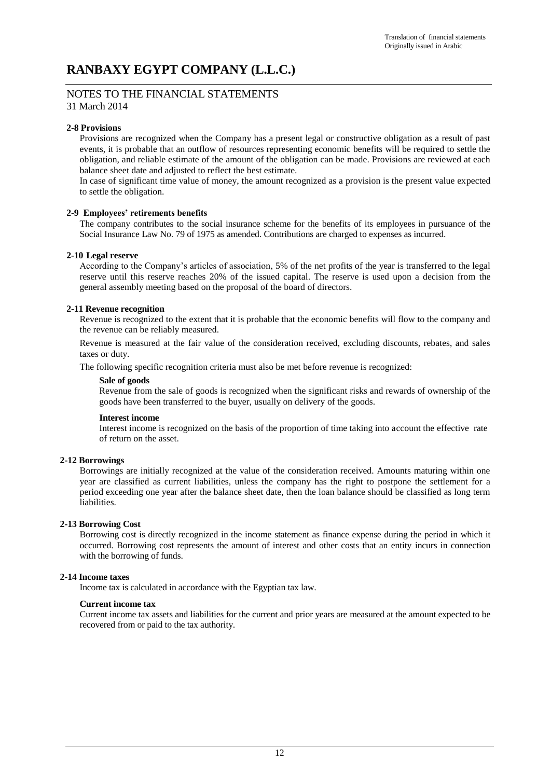### NOTES TO THE FINANCIAL STATEMENTS 31 March 2014

### **2-8 Provisions**

Provisions are recognized when the Company has a present legal or constructive obligation as a result of past events, it is probable that an outflow of resources representing economic benefits will be required to settle the obligation, and reliable estimate of the amount of the obligation can be made. Provisions are reviewed at each balance sheet date and adjusted to reflect the best estimate.

In case of significant time value of money, the amount recognized as a provision is the present value expected to settle the obligation.

### **2-9 Employees' retirements benefits**

The company contributes to the social insurance scheme for the benefits of its employees in pursuance of the Social Insurance Law No. 79 of 1975 as amended. Contributions are charged to expenses as incurred.

### **2-10 Legal reserve**

According to the Company's articles of association, 5% of the net profits of the year is transferred to the legal reserve until this reserve reaches 20% of the issued capital. The reserve is used upon a decision from the general assembly meeting based on the proposal of the board of directors.

### **2-11 Revenue recognition**

Revenue is recognized to the extent that it is probable that the economic benefits will flow to the company and the revenue can be reliably measured.

Revenue is measured at the fair value of the consideration received, excluding discounts, rebates, and sales taxes or duty.

The following specific recognition criteria must also be met before revenue is recognized:

#### **Sale of goods**

Revenue from the sale of goods is recognized when the significant risks and rewards of ownership of the goods have been transferred to the buyer, usually on delivery of the goods.

### **Interest income**

Interest income is recognized on the basis of the proportion of time taking into account the effective rate of return on the asset.

### **2-12 Borrowings**

Borrowings are initially recognized at the value of the consideration received. Amounts maturing within one year are classified as current liabilities, unless the company has the right to postpone the settlement for a period exceeding one year after the balance sheet date, then the loan balance should be classified as long term liabilities.

### **2-13 Borrowing Cost**

Borrowing cost is directly recognized in the income statement as finance expense during the period in which it occurred. Borrowing cost represents the amount of interest and other costs that an entity incurs in connection with the borrowing of funds.

### **2-14 Income taxes**

Income tax is calculated in accordance with the Egyptian tax law.

### **Current income tax**

Current income tax assets and liabilities for the current and prior years are measured at the amount expected to be recovered from or paid to the tax authority.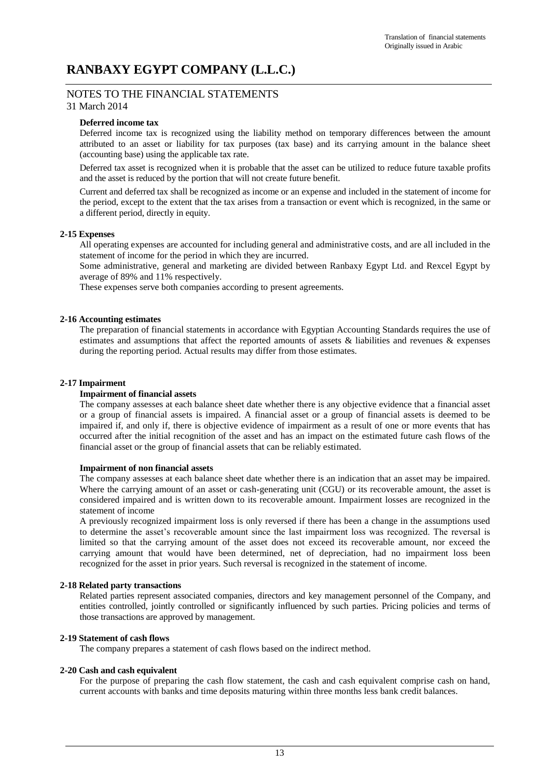# NOTES TO THE FINANCIAL STATEMENTS

## 31 March 2014

### **Deferred income tax**

Deferred income tax is recognized using the liability method on temporary differences between the amount attributed to an asset or liability for tax purposes (tax base) and its carrying amount in the balance sheet (accounting base) using the applicable tax rate.

Deferred tax asset is recognized when it is probable that the asset can be utilized to reduce future taxable profits and the asset is reduced by the portion that will not create future benefit.

Current and deferred tax shall be recognized as income or an expense and included in the statement of income for the period, except to the extent that the tax arises from a transaction or event which is recognized, in the same or a different period, directly in equity.

### **2-15 Expenses**

All operating expenses are accounted for including general and administrative costs, and are all included in the statement of income for the period in which they are incurred.

Some administrative, general and marketing are divided between Ranbaxy Egypt Ltd. and Rexcel Egypt by average of 89% and 11% respectively.

These expenses serve both companies according to present agreements.

### **2-16 Accounting estimates**

The preparation of financial statements in accordance with Egyptian Accounting Standards requires the use of estimates and assumptions that affect the reported amounts of assets & liabilities and revenues & expenses during the reporting period. Actual results may differ from those estimates.

### **2-17 Impairment**

### **Impairment of financial assets**

The company assesses at each balance sheet date whether there is any objective evidence that a financial asset or a group of financial assets is impaired. A financial asset or a group of financial assets is deemed to be impaired if, and only if, there is objective evidence of impairment as a result of one or more events that has occurred after the initial recognition of the asset and has an impact on the estimated future cash flows of the financial asset or the group of financial assets that can be reliably estimated.

### **Impairment of non financial assets**

The company assesses at each balance sheet date whether there is an indication that an asset may be impaired. Where the carrying amount of an asset or cash-generating unit (CGU) or its recoverable amount, the asset is considered impaired and is written down to its recoverable amount. Impairment losses are recognized in the statement of income

A previously recognized impairment loss is only reversed if there has been a change in the assumptions used to determine the asset's recoverable amount since the last impairment loss was recognized. The reversal is limited so that the carrying amount of the asset does not exceed its recoverable amount, nor exceed the carrying amount that would have been determined, net of depreciation, had no impairment loss been recognized for the asset in prior years. Such reversal is recognized in the statement of income.

### **2-18 Related party transactions**

Related parties represent associated companies, directors and key management personnel of the Company, and entities controlled, jointly controlled or significantly influenced by such parties. Pricing policies and terms of those transactions are approved by management.

### **2-19 Statement of cash flows**

The company prepares a statement of cash flows based on the indirect method.

### **2-20 Cash and cash equivalent**

For the purpose of preparing the cash flow statement, the cash and cash equivalent comprise cash on hand, current accounts with banks and time deposits maturing within three months less bank credit balances.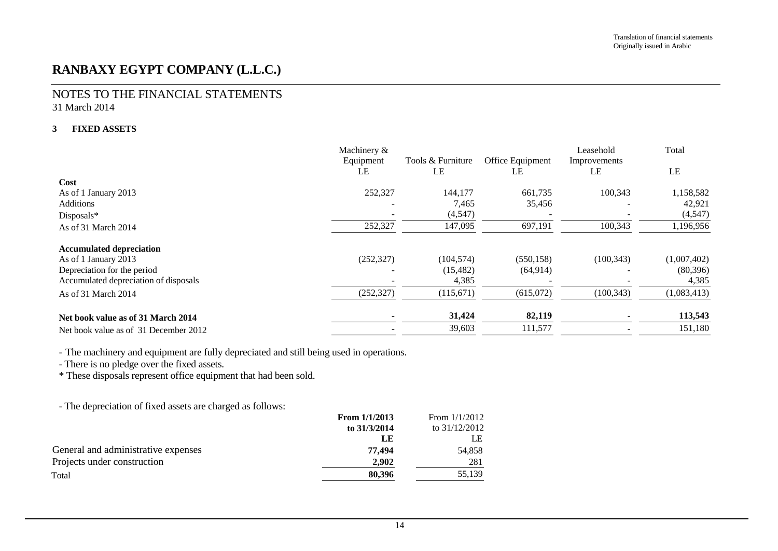### NOTES TO THE FINANCIAL STATEMENTS 31 March 2014

### **3 FIXED ASSETS**

|                                       | Machinery & |                   |                  | Leasehold    | Total       |
|---------------------------------------|-------------|-------------------|------------------|--------------|-------------|
|                                       | Equipment   | Tools & Furniture | Office Equipment | Improvements |             |
|                                       | LE          | LE                | LE               | LE           | LE          |
| Cost                                  |             |                   |                  |              |             |
| As of 1 January 2013                  | 252,327     | 144,177           | 661,735          | 100,343      | 1,158,582   |
| <b>Additions</b>                      |             | 7,465             | 35,456           |              | 42,921      |
| Disposals*                            |             | (4, 547)          |                  |              | (4,547)     |
| As of 31 March 2014                   | 252,327     | 147,095           | 697,191          | 100,343      | 1,196,956   |
| <b>Accumulated depreciation</b>       |             |                   |                  |              |             |
| As of 1 January 2013                  | (252, 327)  | (104, 574)        | (550, 158)       | (100, 343)   | (1,007,402) |
| Depreciation for the period           |             | (15, 482)         | (64, 914)        |              | (80, 396)   |
| Accumulated depreciation of disposals |             | 4,385             |                  |              | 4,385       |
| As of 31 March 2014                   | (252, 327)  | (115,671)         | (615,072)        | (100, 343)   | (1,083,413) |
| Net book value as of 31 March 2014    |             | 31,424            | 82,119           |              | 113,543     |
| Net book value as of 31 December 2012 |             | 39,603            | 111,577          |              | 151,180     |

- The machinery and equipment are fully depreciated and still being used in operations.

- There is no pledge over the fixed assets.

\* These disposals represent office equipment that had been sold.

- The depreciation of fixed assets are charged as follows:

|                                     | From $1/1/2013$ | From $1/1/2012$ |
|-------------------------------------|-----------------|-----------------|
|                                     | to 31/3/2014    | to $31/12/2012$ |
|                                     | LE              | LE              |
| General and administrative expenses | 77.494          | 54,858          |
| Projects under construction         | 2,902           | 281             |
| Total                               | 80,396          | 55,139          |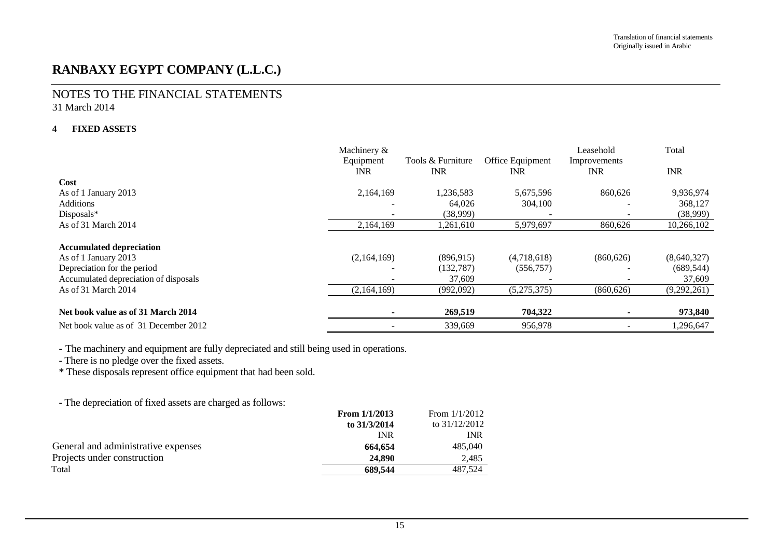### NOTES TO THE FINANCIAL STATEMENTS 31 March 2014

#### **4 FIXED ASSETS**

|                                       | Machinery & |                   |                  | Leasehold    | Total       |
|---------------------------------------|-------------|-------------------|------------------|--------------|-------------|
|                                       | Equipment   | Tools & Furniture | Office Equipment | Improvements |             |
|                                       | <b>INR</b>  | <b>INR</b>        | <b>INR</b>       | <b>INR</b>   | <b>INR</b>  |
| Cost                                  |             |                   |                  |              |             |
| As of 1 January 2013                  | 2,164,169   | 1,236,583         | 5,675,596        | 860,626      | 9,936,974   |
| <b>Additions</b>                      |             | 64,026            | 304,100          |              | 368,127     |
| Disposals*                            |             | (38,999)          |                  |              | (38,999)    |
| As of 31 March 2014                   | 2,164,169   | 1,261,610         | 5,979,697        | 860,626      | 10,266,102  |
| <b>Accumulated depreciation</b>       |             |                   |                  |              |             |
| As of 1 January 2013                  | (2,164,169) | (896, 915)        | (4,718,618)      | (860, 626)   | (8,640,327) |
| Depreciation for the period           |             | (132, 787)        | (556, 757)       |              | (689, 544)  |
| Accumulated depreciation of disposals |             | 37,609            |                  |              | 37,609      |
| As of 31 March 2014                   | (2,164,169) | (992,092)         | (5,275,375)      | (860, 626)   | (9,292,261) |
| Net book value as of 31 March 2014    |             | 269,519           | 704,322          |              | 973,840     |
| Net book value as of 31 December 2012 |             | 339,669           | 956,978          |              | 1,296,647   |

- The machinery and equipment are fully depreciated and still being used in operations.

- There is no pledge over the fixed assets.

\* These disposals represent office equipment that had been sold.

- The depreciation of fixed assets are charged as follows:

| Total                               | 689.544         | 487.524         |
|-------------------------------------|-----------------|-----------------|
| Projects under construction         | 24,890          | 2.485           |
| General and administrative expenses | 664,654         | 485,040         |
|                                     | <b>INR</b>      | <b>INR</b>      |
|                                     | to 31/3/2014    | to $31/12/2012$ |
|                                     | From $1/1/2013$ | From $1/1/2012$ |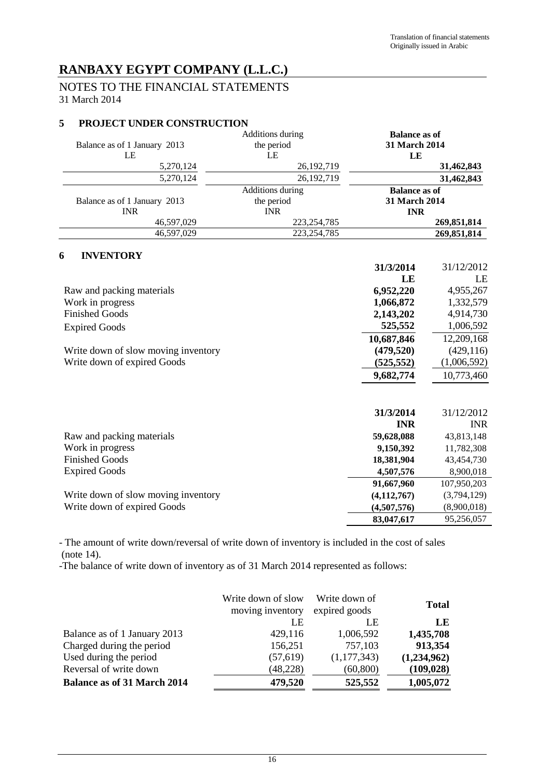# NOTES TO THE FINANCIAL STATEMENTS 31 March 2014

## **5 PROJECT UNDER CONSTRUCTION**

| Balance as of 1 January 2013 | Additions during<br>the period | <b>Balance as of</b><br><b>31 March 2014</b> |
|------------------------------|--------------------------------|----------------------------------------------|
| LE                           | LE                             | LE                                           |
| 5,270,124                    | 26, 192, 719                   | 31,462,843                                   |
| 5,270,124                    | 26, 192, 719                   | 31,462,843                                   |
|                              | Additions during               | <b>Balance as of</b>                         |
| Balance as of 1 January 2013 | the period                     | <b>31 March 2014</b>                         |
| <b>INR</b>                   | <b>INR</b>                     | <b>INR</b>                                   |
| 46,597,029                   | 223, 254, 785                  | 269,851,814                                  |
| 46.597.029                   | 223, 254, 785                  | 269,851,814                                  |

### **6 INVENTORY**

|                                     | 31/3/2014  | 31/12/2012  |
|-------------------------------------|------------|-------------|
|                                     | LE         | LE          |
| Raw and packing materials           | 6,952,220  | 4,955,267   |
| Work in progress                    | 1,066,872  | 1,332,579   |
| <b>Finished Goods</b>               | 2,143,202  | 4,914,730   |
| <b>Expired Goods</b>                | 525,552    | 1,006,592   |
|                                     | 10,687,846 | 12,209,168  |
| Write down of slow moving inventory | (479,520)  | (429, 116)  |
| Write down of expired Goods         | (525, 552) | (1,006,592) |
|                                     | 9,682,774  | 10,773,460  |
|                                     |            |             |
|                                     | 21/2/2014  | 31/12/2012  |

|                                     | JIJJI VIT     |             |
|-------------------------------------|---------------|-------------|
|                                     | <b>INR</b>    | <b>INR</b>  |
| Raw and packing materials           | 59,628,088    | 43,813,148  |
| Work in progress                    | 9,150,392     | 11,782,308  |
| <b>Finished Goods</b>               | 18,381,904    | 43,454,730  |
| Expired Goods                       | 4,507,576     | 8,900,018   |
|                                     | 91,667,960    | 107,950,203 |
| Write down of slow moving inventory | (4, 112, 767) | (3,794,129) |
| Write down of expired Goods         | (4,507,576)   | (8,900,018) |
|                                     | 83,047,617    | 95,256,057  |

- The amount of write down/reversal of write down of inventory is included in the cost of sales (note 14).

-The balance of write down of inventory as of 31 March 2014 represented as follows:

|                                    | Write down of slow<br>moving inventory | Write down of<br>expired goods | <b>Total</b> |
|------------------------------------|----------------------------------------|--------------------------------|--------------|
|                                    | LE                                     | LE                             | LE           |
| Balance as of 1 January 2013       | 429,116                                | 1,006,592                      | 1,435,708    |
| Charged during the period          | 156,251                                | 757,103                        | 913,354      |
| Used during the period             | (57, 619)                              | (1,177,343)                    | (1,234,962)  |
| Reversal of write down             | (48, 228)                              | (60, 800)                      | (109, 028)   |
| <b>Balance as of 31 March 2014</b> | 479,520                                | 525,552                        | 1,005,072    |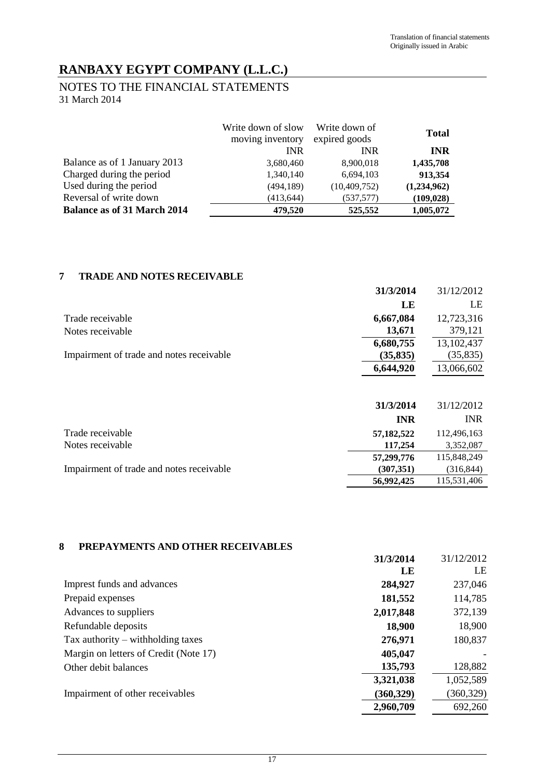# NOTES TO THE FINANCIAL STATEMENTS 31 March 2014

|                                    | Write down of slow<br>moving inventory | Write down of<br>expired goods | <b>Total</b> |
|------------------------------------|----------------------------------------|--------------------------------|--------------|
|                                    | <b>INR</b>                             | <b>INR</b>                     | <b>INR</b>   |
| Balance as of 1 January 2013       | 3,680,460                              | 8,900,018                      | 1,435,708    |
| Charged during the period          | 1,340,140                              | 6,694,103                      | 913,354      |
| Used during the period             | (494, 189)                             | (10, 409, 752)                 | (1,234,962)  |
| Reversal of write down             | (413, 644)                             | (537,577)                      | (109, 028)   |
| <b>Balance as of 31 March 2014</b> | 479,520                                | 525,552                        | 1,005,072    |

# **7 TRADE AND NOTES RECEIVABLE**

|                                          | 31/3/2014  | 31/12/2012  |
|------------------------------------------|------------|-------------|
|                                          | LE         | LE          |
| Trade receivable                         | 6,667,084  | 12,723,316  |
| Notes receivable                         | 13,671     | 379,121     |
|                                          | 6,680,755  | 13,102,437  |
| Impairment of trade and notes receivable | (35, 835)  | (35, 835)   |
|                                          | 6,644,920  | 13,066,602  |
|                                          |            |             |
|                                          | 31/3/2014  | 31/12/2012  |
|                                          | <b>INR</b> | <b>INR</b>  |
| Trade receivable                         | 57,182,522 | 112,496,163 |
| Notes receivable                         | 117,254    | 3,352,087   |
|                                          | 57,299,776 | 115,848,249 |
| Impairment of trade and notes receivable | (307, 351) | (316, 844)  |
|                                          | 56,992,425 | 115,531,406 |

## **8 PREPAYMENTS AND OTHER RECEIVABLES**

|                                       | 31/3/2014  | 31/12/2012 |
|---------------------------------------|------------|------------|
|                                       | LE         | LE         |
| Imprest funds and advances            | 284,927    | 237,046    |
| Prepaid expenses                      | 181,552    | 114,785    |
| Advances to suppliers                 | 2,017,848  | 372,139    |
| Refundable deposits                   | 18,900     | 18,900     |
| Tax authority $-$ withholding taxes   | 276,971    | 180,837    |
| Margin on letters of Credit (Note 17) | 405,047    |            |
| Other debit balances                  | 135,793    | 128,882    |
|                                       | 3,321,038  | 1,052,589  |
| Impairment of other receivables       | (360, 329) | (360, 329) |
|                                       | 2,960,709  | 692,260    |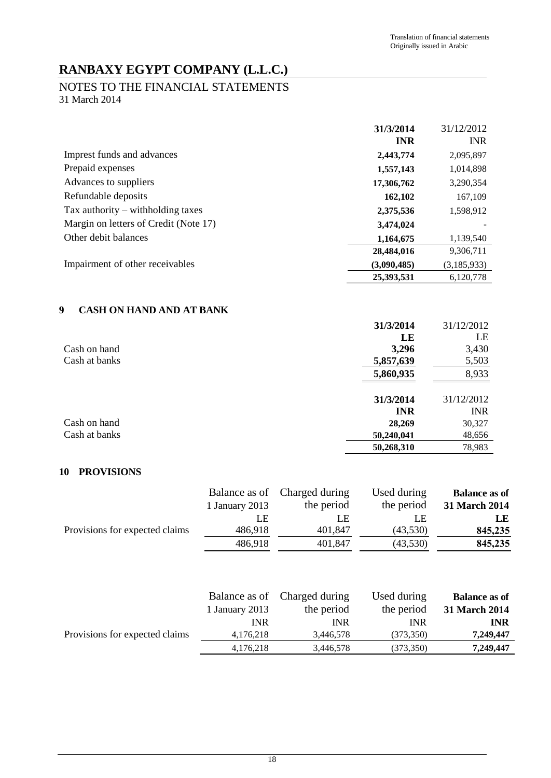### NOTES TO THE FINANCIAL STATEMENTS 31 March 2014

**31/3/2014** 31/12/2012 **INR** INR Imprest funds and advances **2,443,774** 2,095,897 Prepaid expenses **1,557,143** 1,014,898 Advances to suppliers **17,306,762** 3,290,354 Refundable deposits **162,102** 167,109 Tax authority – withholding taxes **2,375,536** 1,598,912 Margin on letters of Credit (Note 17) 3,474,024 Other debit balances **1,164,675 1**,139,540  **28,484,016** 9,306,711 Impairment of other receivables **(3,090,485)** (3,185,933)  **25,393,531** 6,120,778

# **9 CASH ON HAND AND AT BANK**

|               | 31/3/2014  | 31/12/2012 |
|---------------|------------|------------|
|               | LE         | LE         |
| Cash on hand  | 3,296      | 3,430      |
| Cash at banks | 5,857,639  | 5,503      |
|               | 5,860,935  | 8,933      |
|               | 31/3/2014  | 31/12/2012 |
|               | <b>INR</b> | <b>INR</b> |
| Cash on hand  | 28,269     | 30,327     |
| Cash at banks | 50,240,041 | 48,656     |
|               | 50,268,310 | 78,983     |

## **10 PROVISIONS**

|                                | Balance as of  | Charged during | Used during | <b>Balance as of</b> |
|--------------------------------|----------------|----------------|-------------|----------------------|
|                                | 1 January 2013 | the period     | the period  | 31 March 2014        |
|                                | LE             | LE             | LE          | <b>LE</b>            |
| Provisions for expected claims | 486,918        | 401,847        | (43,530)    | 845,235              |
|                                | 486,918        | 401,847        | (43,530)    | 845,235              |
|                                | Balance as of  | Charged during | Used during | <b>Balance as of</b> |
|                                |                |                |             |                      |
|                                | 1 January 2013 | the period     | the period  | <b>31 March 2014</b> |
|                                | <b>INR</b>     | <b>INR</b>     | <b>INR</b>  | <b>INR</b>           |
| Provisions for expected claims | 4,176,218      | 3,446,578      | (373, 350)  | 7,249,447            |
|                                | 4,176,218      | 3,446,578      | (373, 350)  | 7,249,447            |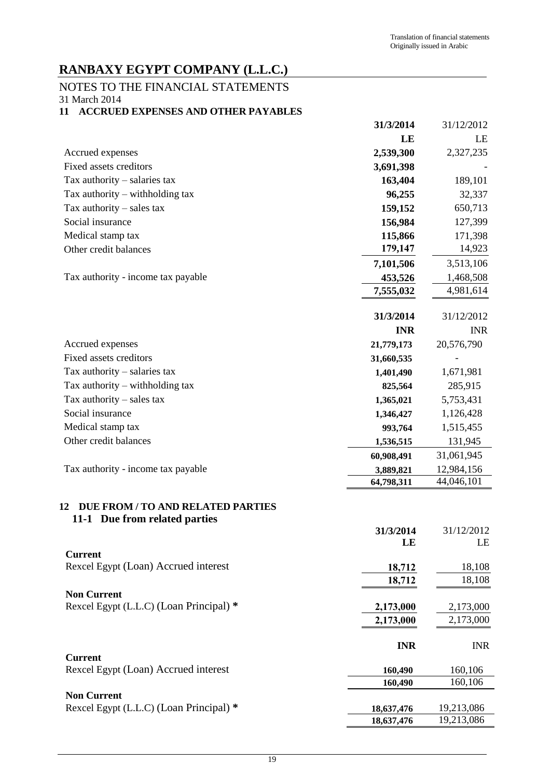# NOTES TO THE FINANCIAL STATEMENTS

31 March 2014

# **11 ACCRUED EXPENSES AND OTHER PAYABLES**

|                                                                          | 31/3/2014       | 31/12/2012       |
|--------------------------------------------------------------------------|-----------------|------------------|
|                                                                          | LE              | LE               |
| Accrued expenses                                                         | 2,539,300       | 2,327,235        |
| Fixed assets creditors                                                   | 3,691,398       |                  |
| Tax authority - salaries tax                                             | 163,404         | 189,101          |
| Tax authority $-$ withholding tax                                        | 96,255          | 32,337           |
| Tax authority $-$ sales tax                                              | 159,152         | 650,713          |
| Social insurance                                                         | 156,984         | 127,399          |
| Medical stamp tax                                                        | 115,866         | 171,398          |
| Other credit balances                                                    | 179,147         | 14,923           |
|                                                                          | 7,101,506       | 3,513,106        |
| Tax authority - income tax payable                                       | 453,526         | 1,468,508        |
|                                                                          | 7,555,032       | 4,981,614        |
|                                                                          |                 |                  |
|                                                                          | 31/3/2014       | 31/12/2012       |
|                                                                          | <b>INR</b>      | <b>INR</b>       |
| Accrued expenses                                                         | 21,779,173      | 20,576,790       |
| Fixed assets creditors                                                   | 31,660,535      |                  |
| Tax authority $-$ salaries tax                                           | 1,401,490       | 1,671,981        |
| Tax authority $-$ withholding tax                                        | 825,564         | 285,915          |
| Tax authority $-$ sales tax                                              | 1,365,021       | 5,753,431        |
| Social insurance                                                         | 1,346,427       | 1,126,428        |
| Medical stamp tax                                                        | 993,764         | 1,515,455        |
| Other credit balances                                                    | 1,536,515       | 131,945          |
|                                                                          | 60,908,491      | 31,061,945       |
| Tax authority - income tax payable                                       | 3,889,821       | 12,984,156       |
|                                                                          | 64,798,311      | 44,046,101       |
| DUE FROM / TO AND RELATED PARTIES<br>12<br>11-1 Due from related parties | 31/3/2014<br>LE | 31/12/2012<br>LE |
| <b>Current</b>                                                           |                 |                  |
| Rexcel Egypt (Loan) Accrued interest                                     | 18,712          | 18,108           |
|                                                                          | 18,712          | 18,108           |
| <b>Non Current</b>                                                       |                 |                  |
| Rexcel Egypt (L.L.C) (Loan Principal) *                                  | 2,173,000       | 2,173,000        |
|                                                                          | 2,173,000       | 2,173,000        |
|                                                                          | <b>INR</b>      | <b>INR</b>       |
| <b>Current</b>                                                           |                 |                  |
| Rexcel Egypt (Loan) Accrued interest                                     | 160,490         | 160,106          |
|                                                                          | 160,490         | 160,106          |
| <b>Non Current</b>                                                       |                 |                  |
| Rexcel Egypt (L.L.C) (Loan Principal) *                                  | 18,637,476      | 19,213,086       |
|                                                                          | 18,637,476      | 19,213,086       |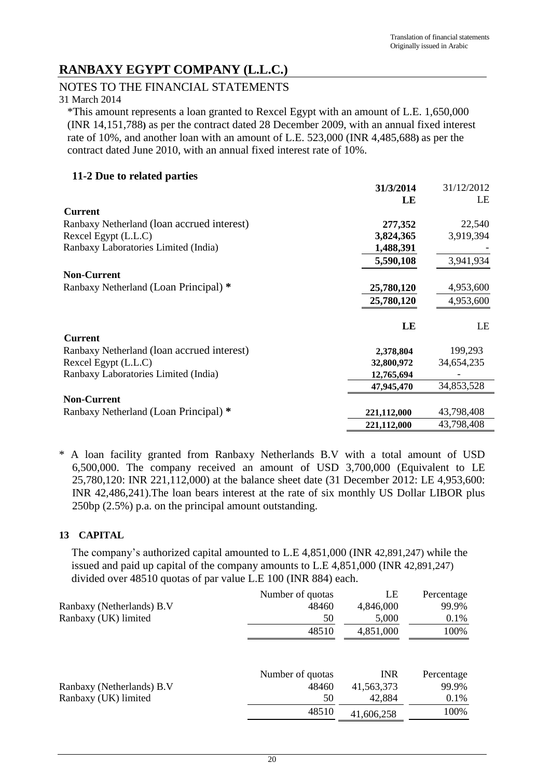# NOTES TO THE FINANCIAL STATEMENTS

31 March 2014

\*This amount represents a loan granted to Rexcel Egypt with an amount of L.E. 1,650,000 (INR 14,151,788**)** as per the contract dated 28 December 2009, with an annual fixed interest rate of 10%, and another loan with an amount of L.E. 523,000 (INR 4,485,688**)** as per the contract dated June 2010, with an annual fixed interest rate of 10%.

## **11-2 Due to related parties**

|                                            | 31/3/2014   | 31/12/2012 |
|--------------------------------------------|-------------|------------|
|                                            | LE          | LE         |
| <b>Current</b>                             |             |            |
| Ranbaxy Netherland (loan accrued interest) | 277,352     | 22,540     |
| Rexcel Egypt (L.L.C)                       | 3,824,365   | 3,919,394  |
| Ranbaxy Laboratories Limited (India)       | 1,488,391   |            |
|                                            | 5,590,108   | 3,941,934  |
| <b>Non-Current</b>                         |             |            |
| Ranbaxy Netherland (Loan Principal) *      | 25,780,120  | 4,953,600  |
|                                            | 25,780,120  | 4,953,600  |
|                                            | LE          | LE         |
| <b>Current</b>                             |             |            |
| Ranbaxy Netherland (loan accrued interest) | 2,378,804   | 199,293    |
| Rexcel Egypt (L.L.C)                       | 32,800,972  | 34,654,235 |
| Ranbaxy Laboratories Limited (India)       | 12,765,694  |            |
|                                            | 47,945,470  | 34,853,528 |
| <b>Non-Current</b>                         |             |            |
| Ranbaxy Netherland (Loan Principal) *      | 221,112,000 | 43,798,408 |
|                                            | 221,112,000 | 43,798,408 |

\* A loan facility granted from Ranbaxy Netherlands B.V with a total amount of USD 6,500,000. The company received an amount of USD 3,700,000 (Equivalent to LE 25,780,120: INR 221,112,000) at the balance sheet date (31 December 2012: LE 4,953,600: INR 42,486,241).The loan bears interest at the rate of six monthly US Dollar LIBOR plus 250bp (2.5%) p.a. on the principal amount outstanding.

# **13 CAPITAL**

The company's authorized capital amounted to L.E 4,851,000 (INR 42,891,247) while the issued and paid up capital of the company amounts to L.E 4,851,000 (INR 42,891,247) divided over 48510 quotas of par value L.E 100 (INR 884) each.

|                           | Number of quotas | LE         | Percentage |
|---------------------------|------------------|------------|------------|
| Ranbaxy (Netherlands) B.V | 48460            | 4,846,000  | 99.9%      |
| Ranbaxy (UK) limited      | 50               | 5,000      | 0.1%       |
|                           | 48510            | 4,851,000  | 100%       |
|                           |                  |            |            |
|                           | Number of quotas | <b>INR</b> | Percentage |
| Ranbaxy (Netherlands) B.V | 48460            | 41,563,373 | 99.9%      |
| Ranbaxy (UK) limited      | 50               | 42,884     | 0.1%       |
|                           | 48510            | 41,606,258 | 100%       |
|                           |                  |            |            |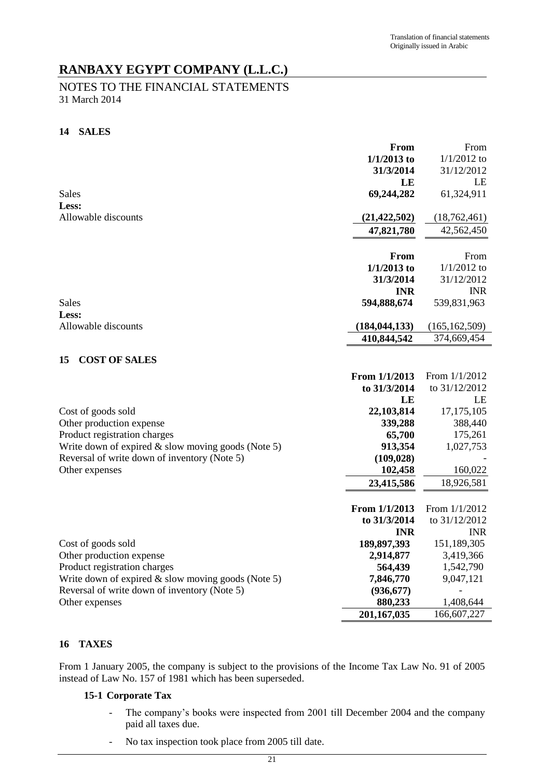# NOTES TO THE FINANCIAL STATEMENTS 31 March 2014

## **14 SALES**

|                                                      | From            | From            |
|------------------------------------------------------|-----------------|-----------------|
|                                                      | $1/1/2013$ to   | $1/1/2012$ to   |
|                                                      | 31/3/2014       | 31/12/2012      |
|                                                      | LE              | LE              |
| Sales                                                | 69,244,282      | 61,324,911      |
| Less:                                                |                 |                 |
| Allowable discounts                                  | (21, 422, 502)  | (18, 762, 461)  |
|                                                      | 47,821,780      | 42,562,450      |
|                                                      |                 |                 |
|                                                      | From            | From            |
|                                                      | $1/1/2013$ to   | $1/1/2012$ to   |
|                                                      | 31/3/2014       | 31/12/2012      |
|                                                      | <b>INR</b>      | <b>INR</b>      |
| Sales                                                | 594,888,674     | 539,831,963     |
| Less:                                                |                 |                 |
| Allowable discounts                                  | (184, 044, 133) | (165, 162, 509) |
|                                                      | 410,844,542     | 374,669,454     |
|                                                      |                 |                 |
| <b>COST OF SALES</b><br>15                           |                 |                 |
|                                                      | From 1/1/2013   | From 1/1/2012   |
|                                                      | to 31/3/2014    | to 31/12/2012   |
|                                                      | LE              | LE              |
| Cost of goods sold                                   | 22,103,814      | 17, 175, 105    |
| Other production expense                             | 339,288         | 388,440         |
| Product registration charges                         | 65,700          | 175,261         |
| Write down of expired $&$ slow moving goods (Note 5) | 913,354         | 1,027,753       |
| Reversal of write down of inventory (Note 5)         | (109, 028)      |                 |
| Other expenses                                       | 102,458         | 160,022         |
|                                                      | 23,415,586      | 18,926,581      |
|                                                      |                 |                 |
|                                                      | From 1/1/2013   | From 1/1/2012   |
|                                                      | to 31/3/2014    | to 31/12/2012   |
|                                                      | <b>INR</b>      | <b>INR</b>      |
| Cost of goods sold                                   | 189,897,393     | 151,189,305     |
| Other production expense                             | 2,914,877       | 3,419,366       |
| Product registration charges                         | 564,439         | 1,542,790       |
| Write down of expired $&$ slow moving goods (Note 5) | 7,846,770       | 9,047,121       |
| Reversal of write down of inventory (Note 5)         | (936, 677)      |                 |
| Other expenses                                       | 880,233         | 1,408,644       |
|                                                      | 201,167,035     | 166,607,227     |

# **16 TAXES**

From 1 January 2005, the company is subject to the provisions of the Income Tax Law No. 91 of 2005 instead of Law No. 157 of 1981 which has been superseded.

## **15-1 Corporate Tax**

- The company's books were inspected from 2001 till December 2004 and the company paid all taxes due.
- No tax inspection took place from 2005 till date.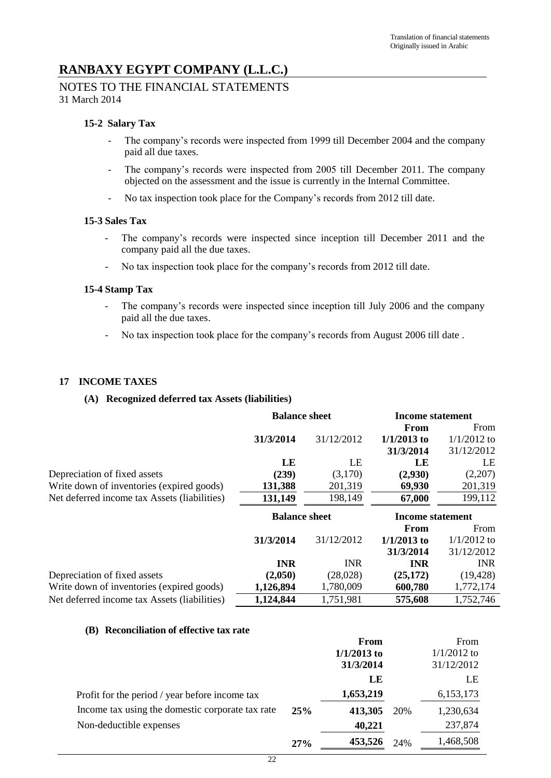# NOTES TO THE FINANCIAL STATEMENTS 31 March 2014

## **15-2 Salary Tax**

- The company's records were inspected from 1999 till December 2004 and the company paid all due taxes.
- The company's records were inspected from 2005 till December 2011. The company objected on the assessment and the issue is currently in the Internal Committee.
- No tax inspection took place for the Company's records from 2012 till date.

### **15-3 Sales Tax**

- The company's records were inspected since inception till December 2011 and the company paid all the due taxes.
- No tax inspection took place for the company's records from 2012 till date.

## **15-4 Stamp Tax**

- The company's records were inspected since inception till July 2006 and the company paid all the due taxes.
- No tax inspection took place for the company's records from August 2006 till date.

## **17 INCOME TAXES**

### **(A) Recognized deferred tax Assets (liabilities)**

|                                              | <b>Balance sheet</b> |            | <b>Income statement</b> |               |
|----------------------------------------------|----------------------|------------|-------------------------|---------------|
|                                              |                      |            | From                    | From          |
|                                              | 31/3/2014            | 31/12/2012 | $1/1/2013$ to           | $1/1/2012$ to |
|                                              |                      |            | 31/3/2014               | 31/12/2012    |
|                                              | LE                   | LE         | LE                      | LE            |
| Depreciation of fixed assets                 | (239)                | (3,170)    | (2,930)                 | (2,207)       |
| Write down of inventories (expired goods)    | 131,388              | 201,319    | 69,930                  | 201,319       |
| Net deferred income tax Assets (liabilities) | 131,149              | 198,149    | 67,000                  | 199,112       |
|                                              |                      |            |                         |               |
|                                              | <b>Balance sheet</b> |            | <b>Income statement</b> |               |
|                                              |                      |            | From                    | From          |
|                                              | 31/3/2014            | 31/12/2012 | $1/1/2013$ to           | $1/1/2012$ to |
|                                              |                      |            | 31/3/2014               | 31/12/2012    |
|                                              | <b>INR</b>           | <b>INR</b> | <b>INR</b>              | <b>INR</b>    |
| Depreciation of fixed assets                 | (2,050)              | (28,028)   | (25, 172)               | (19, 428)     |
| Write down of inventories (expired goods)    | 1,126,894            | 1,780,009  | 600,780                 | 1,772,174     |

### **(B) Reconciliation of effective tax rate**

|                                                  |     | From          |     | From          |
|--------------------------------------------------|-----|---------------|-----|---------------|
|                                                  |     | $1/1/2013$ to |     | $1/1/2012$ to |
|                                                  |     | 31/3/2014     |     | 31/12/2012    |
|                                                  |     | LE            |     | LE            |
| Profit for the period / year before income tax   |     | 1,653,219     |     | 6,153,173     |
| Income tax using the domestic corporate tax rate | 25% | 413,305       | 20% | 1,230,634     |
| Non-deductible expenses                          |     | 40,221        |     | 237,874       |
|                                                  | 27% | 453,526       | 24% | 1,468,508     |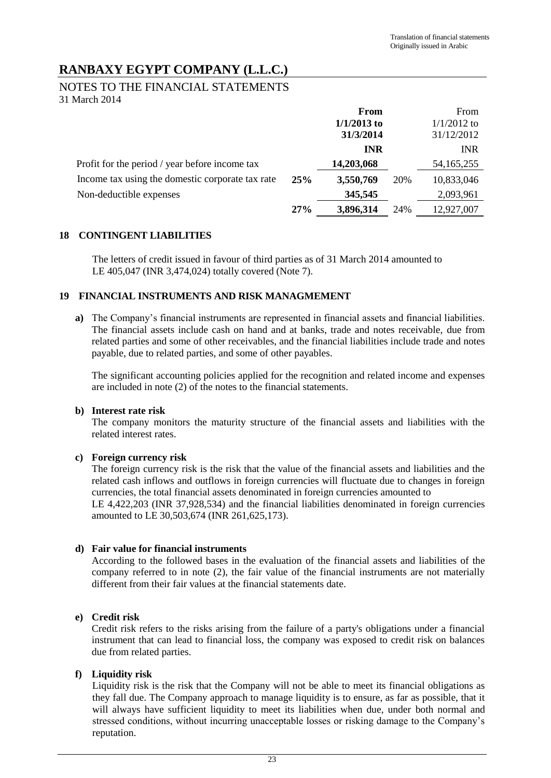## NOTES TO THE FINANCIAL STATEMENTS 31 March 2014

|                                                  |     | From          |     | From          |
|--------------------------------------------------|-----|---------------|-----|---------------|
|                                                  |     | $1/1/2013$ to |     | $1/1/2012$ to |
|                                                  |     | 31/3/2014     |     | 31/12/2012    |
|                                                  |     | <b>INR</b>    |     | <b>INR</b>    |
| Profit for the period / year before income tax   |     | 14,203,068    |     | 54, 165, 255  |
| Income tax using the domestic corporate tax rate | 25% | 3,550,769     | 20% | 10,833,046    |
| Non-deductible expenses                          |     | 345,545       |     | 2,093,961     |
|                                                  | 27% | 3,896,314     | 24% | 12,927,007    |

## **18 CONTINGENT LIABILITIES**

The letters of credit issued in favour of third parties as of 31 March 2014 amounted to LE 405,047 (INR 3,474,024) totally covered (Note 7).

## **19 FINANCIAL INSTRUMENTS AND RISK MANAGMEMENT**

**a)** The Company's financial instruments are represented in financial assets and financial liabilities. The financial assets include cash on hand and at banks, trade and notes receivable, due from related parties and some of other receivables, and the financial liabilities include trade and notes payable, due to related parties, and some of other payables.

The significant accounting policies applied for the recognition and related income and expenses are included in note (2) of the notes to the financial statements.

## **b) Interest rate risk**

The company monitors the maturity structure of the financial assets and liabilities with the related interest rates.

## **c) Foreign currency risk**

The foreign currency risk is the risk that the value of the financial assets and liabilities and the related cash inflows and outflows in foreign currencies will fluctuate due to changes in foreign currencies, the total financial assets denominated in foreign currencies amounted to LE 4,422,203 (INR 37,928,534) and the financial liabilities denominated in foreign currencies amounted to LE 30,503,674 (INR 261,625,173).

## **d) Fair value for financial instruments**

According to the followed bases in the evaluation of the financial assets and liabilities of the company referred to in note (2), the fair value of the financial instruments are not materially different from their fair values at the financial statements date.

## **e) Credit risk**

Credit risk refers to the risks arising from the failure of a party's obligations under a financial instrument that can lead to financial loss, the company was exposed to credit risk on balances due from related parties.

## **f) Liquidity risk**

Liquidity risk is the risk that the Company will not be able to meet its financial obligations as they fall due. The Company approach to manage liquidity is to ensure, as far as possible, that it will always have sufficient liquidity to meet its liabilities when due, under both normal and stressed conditions, without incurring unacceptable losses or risking damage to the Company's reputation.